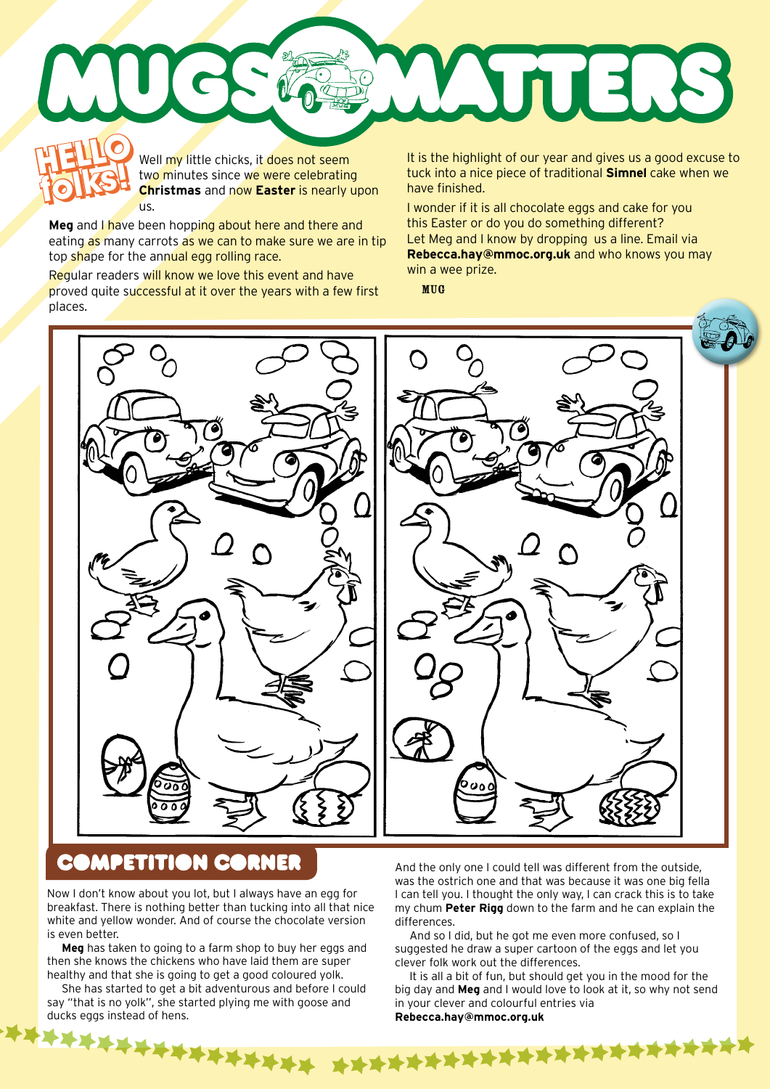

Well my little chicks, it does not seem two minutes since we were celebrating **Christmas** and now **Easter** is nearly upon us.

**Meg** and I have been hopping about here and there and eating as many carrots as we can to make sure we are in tip top shape for the annual egg rolling race.

**folks!**

Regular readers will know we love this event and have proved quite successful at it over the years with a few first places.

**folks and the folks of our year and gives us a good excuse to**<br> **folks and two minutes since we were celebrating** tuck into a nice piece of traditional **Simnel** cake when we<br> **christmas** and now Easter is nearly upon have tuck into a nice piece of traditional **Simnel** cake when we have finished.

I wonder if it is all chocolate eggs and cake for you this Easter or do you do something different? Let Meg and I know by dropping us a line. Email via **Rebecca.hay@mmoc.org.uk** and who knows you may win a wee prize.

MUG



## **COMPETITION CORNER**

Now I don't know about you lot, but I always have an egg for breakfast. There is nothing better than tucking into all that nice white and yellow wonder. And of course the chocolate version is even better.

**Meg** has taken to going to a farm shop to buy her eggs and then she knows the chickens who have laid them are super healthy and that she is going to get a good coloured yolk.

She has started to get a bit adventurous and before I could say "that is no yolk'', she started plying me with goose and ducks eggs instead of hens.

\*\*\*\*\*\*\*\*\*

And the only one I could tell was different from the outside, was the ostrich one and that was because it was one big fella I can tell you. I thought the only way, I can crack this is to take my chum **Peter Rigg** down to the farm and he can explain the differences.

And so I did, but he got me even more confused, so I suggested he draw a super cartoon of the eggs and let you clever folk work out the differences.

It is all a bit of fun, but should get you in the mood for the big day and **Meg** and I would love to look at it, so why not send in your clever and colourful entries via **Rebecca.hay@mmoc.org.uk**

\*\*\*\*\*\*\*\*\*\*\*\*\*\*\*\*\*\*\*\*\*\*\*